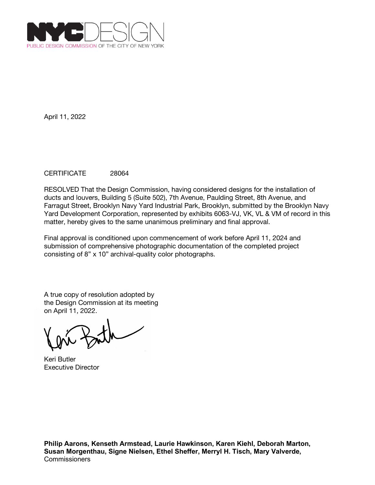

## CERTIFICATE 28064

RESOLVED That the Design Commission, having considered designs for the installation of ducts and louvers, Building 5 (Suite 502), 7th Avenue, Paulding Street, 8th Avenue, and Farragut Street, Brooklyn Navy Yard Industrial Park, Brooklyn, submitted by the Brooklyn Navy Yard Development Corporation, represented by exhibits 6063-VJ, VK, VL & VM of record in this matter, hereby gives to the same unanimous preliminary and final approval.

Final approval is conditioned upon commencement of work before April 11, 2024 and submission of comprehensive photographic documentation of the completed project consisting of 8" x 10" archival-quality color photographs.

A true copy of resolution adopted by the Design Commission at its meeting on April 11, 2022.

Keri Butler Executive Director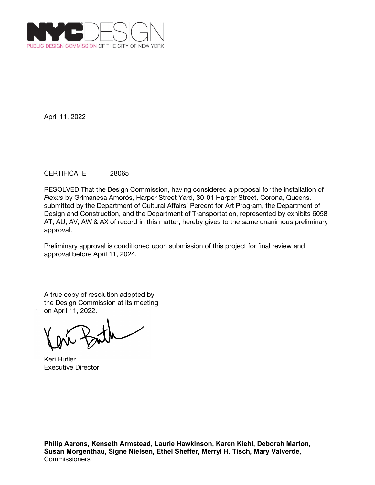

## CERTIFICATE 28065

RESOLVED That the Design Commission, having considered a proposal for the installation of *Flexus* by Grimanesa Amorós, Harper Street Yard, 30-01 Harper Street, Corona, Queens, submitted by the Department of Cultural Affairs' Percent for Art Program, the Department of Design and Construction, and the Department of Transportation, represented by exhibits 6058- AT, AU, AV, AW & AX of record in this matter, hereby gives to the same unanimous preliminary approval.

Preliminary approval is conditioned upon submission of this project for final review and approval before April 11, 2024.

Keri Butler Executive Director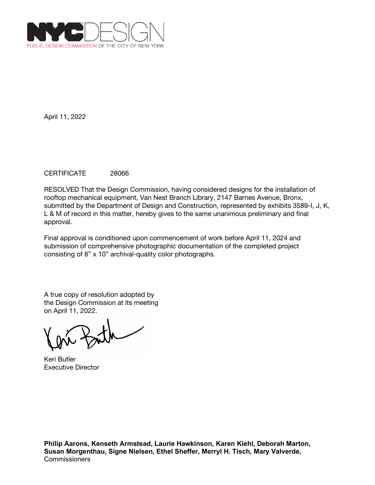

## CERTIFICATE 28066

RESOLVED That the Design Commission, having considered designs for the installation of rooftop mechanical equipment, Van Nest Branch Library, 2147 Barnes Avenue, Bronx, submitted by the Department of Design and Construction, represented by exhibits 3589-I, J, K, L & M of record in this matter, hereby gives to the same unanimous preliminary and final approval.

Final approval is conditioned upon commencement of work before April 11, 2024 and submission of comprehensive photographic documentation of the completed project consisting of 8" x 10" archival-quality color photographs.

A true copy of resolution adopted by the Design Commission at its meeting on April 11, 2022.

Keri Butler Executive Director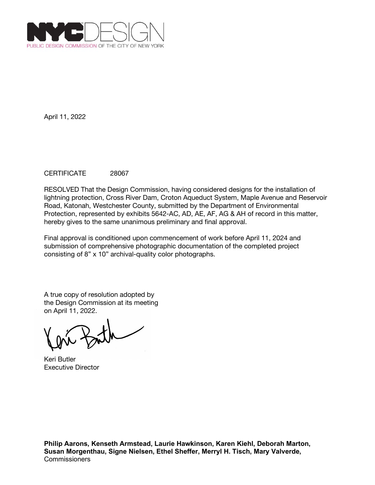

## CERTIFICATE 28067

RESOLVED That the Design Commission, having considered designs for the installation of lightning protection, Cross River Dam, Croton Aqueduct System, Maple Avenue and Reservoir Road, Katonah, Westchester County, submitted by the Department of Environmental Protection, represented by exhibits 5642-AC, AD, AE, AF, AG & AH of record in this matter, hereby gives to the same unanimous preliminary and final approval.

Final approval is conditioned upon commencement of work before April 11, 2024 and submission of comprehensive photographic documentation of the completed project consisting of 8" x 10" archival-quality color photographs.

Keri Butler Executive Director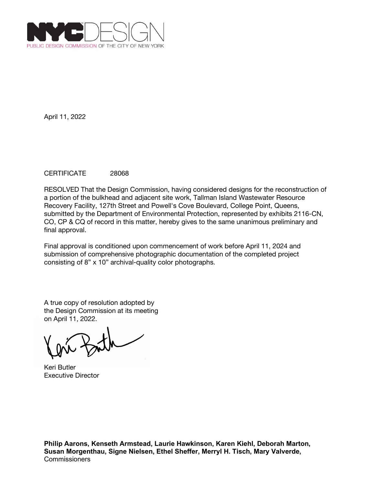

## CERTIFICATE 28068

RESOLVED That the Design Commission, having considered designs for the reconstruction of a portion of the bulkhead and adjacent site work, Tallman Island Wastewater Resource Recovery Facility, 127th Street and Powell's Cove Boulevard, College Point, Queens, submitted by the Department of Environmental Protection, represented by exhibits 2116-CN, CO, CP & CQ of record in this matter, hereby gives to the same unanimous preliminary and final approval.

Final approval is conditioned upon commencement of work before April 11, 2024 and submission of comprehensive photographic documentation of the completed project consisting of 8" x 10" archival-quality color photographs.

A true copy of resolution adopted by the Design Commission at its meeting on April 11, 2022.

Keri Butler Executive Director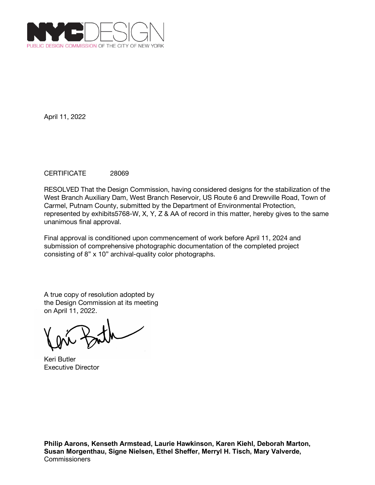

## CERTIFICATE 28069

RESOLVED That the Design Commission, having considered designs for the stabilization of the West Branch Auxiliary Dam, West Branch Reservoir, US Route 6 and Drewville Road, Town of Carmel, Putnam County, submitted by the Department of Environmental Protection, represented by exhibits5768-W, X, Y, Z & AA of record in this matter, hereby gives to the same unanimous final approval.

Final approval is conditioned upon commencement of work before April 11, 2024 and submission of comprehensive photographic documentation of the completed project consisting of 8" x 10" archival-quality color photographs.

Keri Butler Executive Director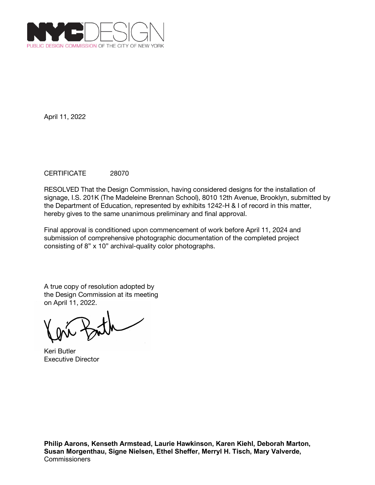

## CERTIFICATE 28070

RESOLVED That the Design Commission, having considered designs for the installation of signage, I.S. 201K (The Madeleine Brennan School), 8010 12th Avenue, Brooklyn, submitted by the Department of Education, represented by exhibits 1242-H & I of record in this matter, hereby gives to the same unanimous preliminary and final approval.

Final approval is conditioned upon commencement of work before April 11, 2024 and submission of comprehensive photographic documentation of the completed project consisting of 8" x 10" archival-quality color photographs.

Keri Butler Executive Director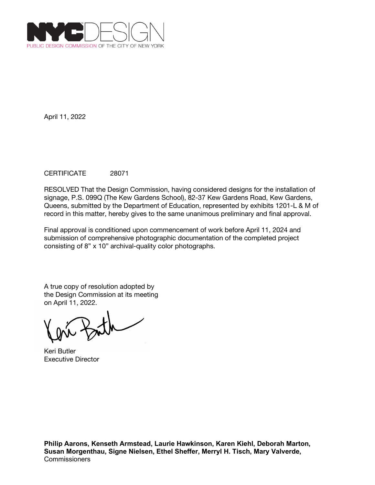

# CERTIFICATE 28071

RESOLVED That the Design Commission, having considered designs for the installation of signage, P.S. 099Q (The Kew Gardens School), 82-37 Kew Gardens Road, Kew Gardens, Queens, submitted by the Department of Education, represented by exhibits 1201-L & M of record in this matter, hereby gives to the same unanimous preliminary and final approval.

Final approval is conditioned upon commencement of work before April 11, 2024 and submission of comprehensive photographic documentation of the completed project consisting of 8" x 10" archival-quality color photographs.

Keri Butler Executive Director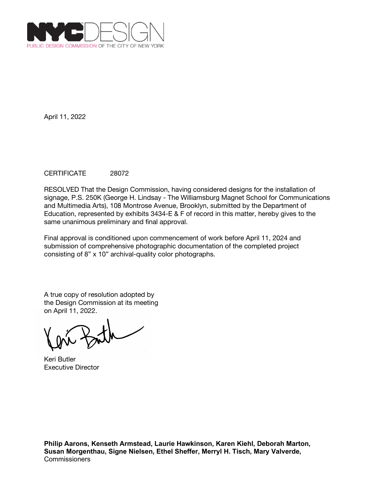

## CERTIFICATE 28072

RESOLVED That the Design Commission, having considered designs for the installation of signage, P.S. 250K (George H. Lindsay - The Williamsburg Magnet School for Communications and Multimedia Arts), 108 Montrose Avenue, Brooklyn, submitted by the Department of Education, represented by exhibits 3434-E & F of record in this matter, hereby gives to the same unanimous preliminary and final approval.

Final approval is conditioned upon commencement of work before April 11, 2024 and submission of comprehensive photographic documentation of the completed project consisting of 8" x 10" archival-quality color photographs.

Keri Butler Executive Director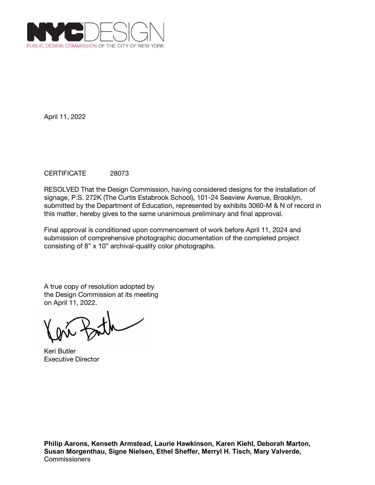

## CERTIFICATE 28073

RESOLVED That the Design Commission, having considered designs for the installation of signage, P.S. 272K (The Curtis Estabrook School), 101-24 Seaview Avenue, Brooklyn, submitted by the Department of Education, represented by exhibits 3060-M & N of record in this matter, hereby gives to the same unanimous preliminary and final approval.

Final approval is conditioned upon commencement of work before April 11, 2024 and submission of comprehensive photographic documentation of the completed project consisting of 8" x 10" archival-quality color photographs.

Keri Butler Executive Director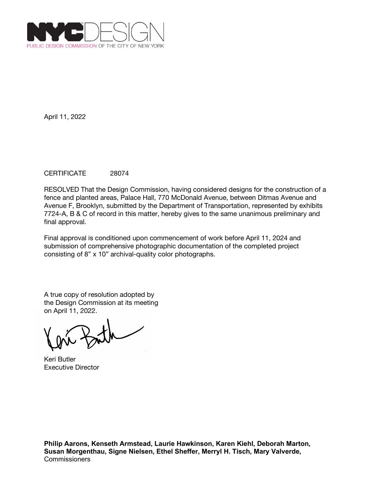

## CERTIFICATE 28074

RESOLVED That the Design Commission, having considered designs for the construction of a fence and planted areas, Palace Hall, 770 McDonald Avenue, between Ditmas Avenue and Avenue F, Brooklyn, submitted by the Department of Transportation, represented by exhibits 7724-A, B & C of record in this matter, hereby gives to the same unanimous preliminary and final approval.

Final approval is conditioned upon commencement of work before April 11, 2024 and submission of comprehensive photographic documentation of the completed project consisting of 8" x 10" archival-quality color photographs.

A true copy of resolution adopted by the Design Commission at its meeting on April 11, 2022.

Keri Butler Executive Director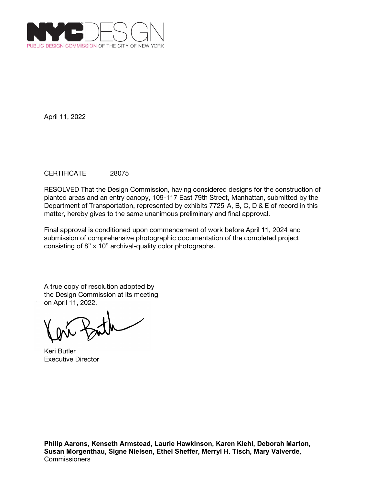

## CERTIFICATE 28075

RESOLVED That the Design Commission, having considered designs for the construction of planted areas and an entry canopy, 109-117 East 79th Street, Manhattan, submitted by the Department of Transportation, represented by exhibits 7725-A, B, C, D & E of record in this matter, hereby gives to the same unanimous preliminary and final approval.

Final approval is conditioned upon commencement of work before April 11, 2024 and submission of comprehensive photographic documentation of the completed project consisting of 8" x 10" archival-quality color photographs.

Keri Butler Executive Director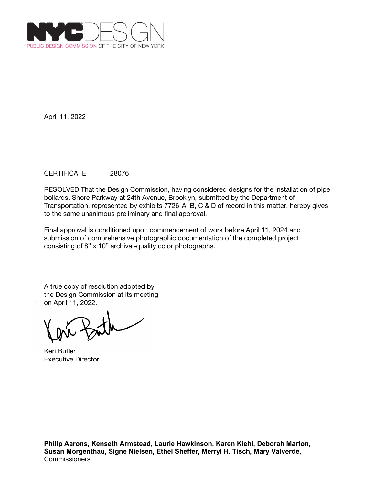

### CERTIFICATE 28076

RESOLVED That the Design Commission, having considered designs for the installation of pipe bollards, Shore Parkway at 24th Avenue, Brooklyn, submitted by the Department of Transportation, represented by exhibits 7726-A, B, C & D of record in this matter, hereby gives to the same unanimous preliminary and final approval.

Final approval is conditioned upon commencement of work before April 11, 2024 and submission of comprehensive photographic documentation of the completed project consisting of 8" x 10" archival-quality color photographs.

Keri Butler Executive Director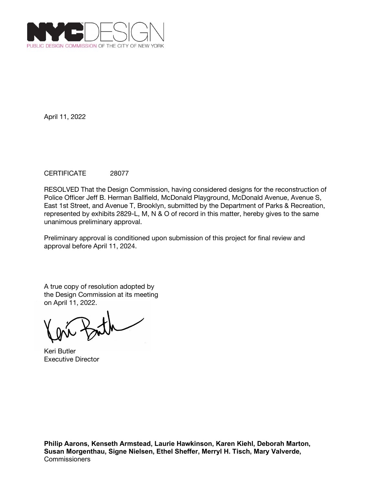

## CERTIFICATE 28077

RESOLVED That the Design Commission, having considered designs for the reconstruction of Police Officer Jeff B. Herman Ballfield, McDonald Playground, McDonald Avenue, Avenue S, East 1st Street, and Avenue T, Brooklyn, submitted by the Department of Parks & Recreation, represented by exhibits 2829-L, M, N & O of record in this matter, hereby gives to the same unanimous preliminary approval.

Preliminary approval is conditioned upon submission of this project for final review and approval before April 11, 2024.

Keri Butler Executive Director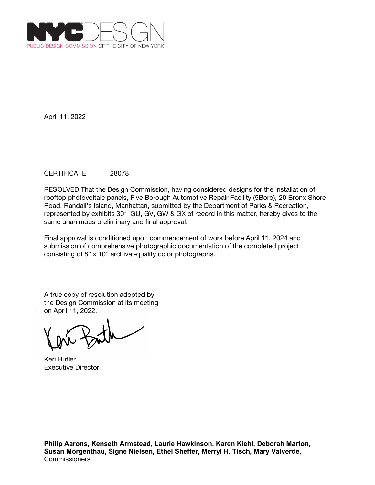

# CERTIFICATE 28078

RESOLVED That the Design Commission, having considered designs for the installation of rooftop photovoltaic panels, Five Borough Automotive Repair Facility (5Boro), 20 Bronx Shore Road, Randall's Island, Manhattan, submitted by the Department of Parks & Recreation, represented by exhibits 301-GU, GV, GW & GX of record in this matter, hereby gives to the same unanimous preliminary and final approval.

Final approval is conditioned upon commencement of work before April 11, 2024 and submission of comprehensive photographic documentation of the completed project consisting of 8" x 10" archival-quality color photographs.

A true copy of resolution adopted by the Design Commission at its meeting on April 11, 2022.

Keri Butler Executive Director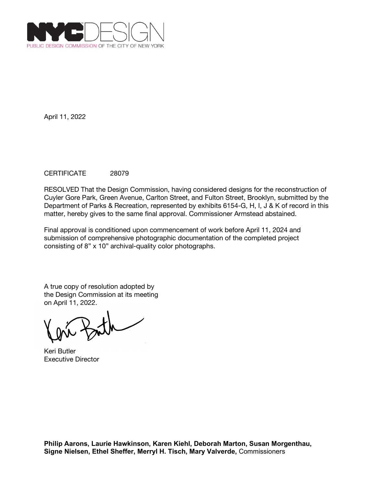

## CERTIFICATE 28079

RESOLVED That the Design Commission, having considered designs for the reconstruction of Cuyler Gore Park, Green Avenue, Carlton Street, and Fulton Street, Brooklyn, submitted by the Department of Parks & Recreation, represented by exhibits 6154-G, H, I, J & K of record in this matter, hereby gives to the same final approval. Commissioner Armstead abstained.

Final approval is conditioned upon commencement of work before April 11, 2024 and submission of comprehensive photographic documentation of the completed project consisting of 8" x 10" archival-quality color photographs.

Keri Butler Executive Director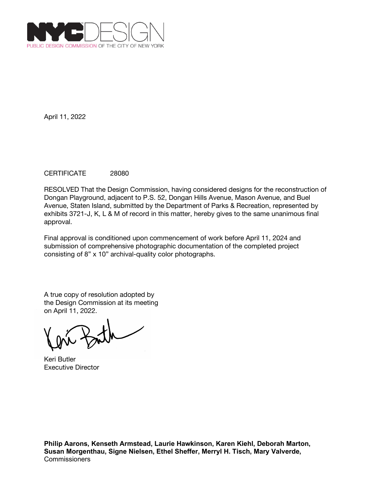

## CERTIFICATE 28080

RESOLVED That the Design Commission, having considered designs for the reconstruction of Dongan Playground, adjacent to P.S. 52, Dongan Hills Avenue, Mason Avenue, and Buel Avenue, Staten Island, submitted by the Department of Parks & Recreation, represented by exhibits 3721-J, K, L & M of record in this matter, hereby gives to the same unanimous final approval.

Final approval is conditioned upon commencement of work before April 11, 2024 and submission of comprehensive photographic documentation of the completed project consisting of 8" x 10" archival-quality color photographs.

Keri Butler Executive Director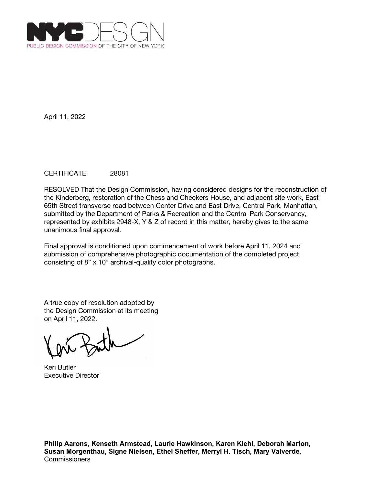

## CERTIFICATE 28081

RESOLVED That the Design Commission, having considered designs for the reconstruction of the Kinderberg, restoration of the Chess and Checkers House, and adjacent site work, East 65th Street transverse road between Center Drive and East Drive, Central Park, Manhattan, submitted by the Department of Parks & Recreation and the Central Park Conservancy, represented by exhibits 2948-X, Y & Z of record in this matter, hereby gives to the same unanimous final approval.

Final approval is conditioned upon commencement of work before April 11, 2024 and submission of comprehensive photographic documentation of the completed project consisting of 8" x 10" archival-quality color photographs.

A true copy of resolution adopted by the Design Commission at its meeting on April 11, 2022.

Keri Butler Executive Director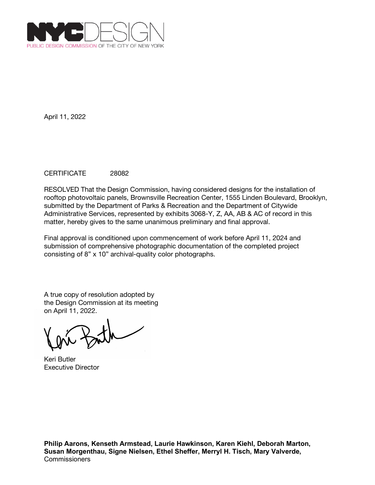

## CERTIFICATE 28082

RESOLVED That the Design Commission, having considered designs for the installation of rooftop photovoltaic panels, Brownsville Recreation Center, 1555 Linden Boulevard, Brooklyn, submitted by the Department of Parks & Recreation and the Department of Citywide Administrative Services, represented by exhibits 3068-Y, Z, AA, AB & AC of record in this matter, hereby gives to the same unanimous preliminary and final approval.

Final approval is conditioned upon commencement of work before April 11, 2024 and submission of comprehensive photographic documentation of the completed project consisting of 8" x 10" archival-quality color photographs.

Keri Butler Executive Director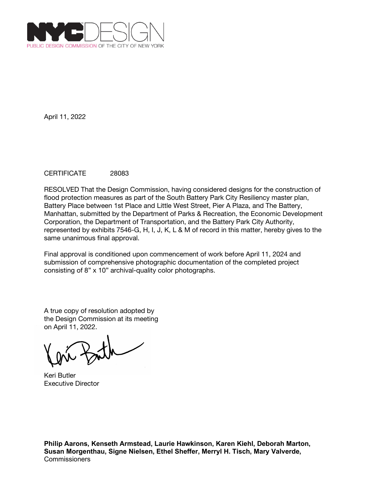

## CERTIFICATE 28083

RESOLVED That the Design Commission, having considered designs for the construction of flood protection measures as part of the South Battery Park City Resiliency master plan, Battery Place between 1st Place and Little West Street, Pier A Plaza, and The Battery, Manhattan, submitted by the Department of Parks & Recreation, the Economic Development Corporation, the Department of Transportation, and the Battery Park City Authority, represented by exhibits 7546-G, H, I, J, K, L & M of record in this matter, hereby gives to the same unanimous final approval.

Final approval is conditioned upon commencement of work before April 11, 2024 and submission of comprehensive photographic documentation of the completed project consisting of 8" x 10" archival-quality color photographs.

A true copy of resolution adopted by the Design Commission at its meeting on April 11, 2022.

Keri Butler Executive Director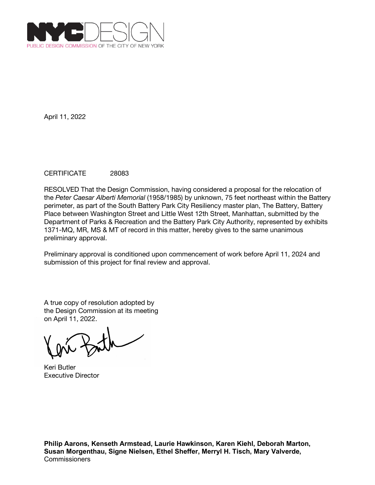

## CERTIFICATE 28083

RESOLVED That the Design Commission, having considered a proposal for the relocation of the *Peter Caesar Alberti Memorial* (1958/1985) by unknown, 75 feet northeast within the Battery perimeter, as part of the South Battery Park City Resiliency master plan, The Battery, Battery Place between Washington Street and Little West 12th Street, Manhattan, submitted by the Department of Parks & Recreation and the Battery Park City Authority, represented by exhibits 1371-MQ, MR, MS & MT of record in this matter, hereby gives to the same unanimous preliminary approval.

Preliminary approval is conditioned upon commencement of work before April 11, 2024 and submission of this project for final review and approval.

A true copy of resolution adopted by the Design Commission at its meeting on April 11, 2022.

Keri Butler Executive Director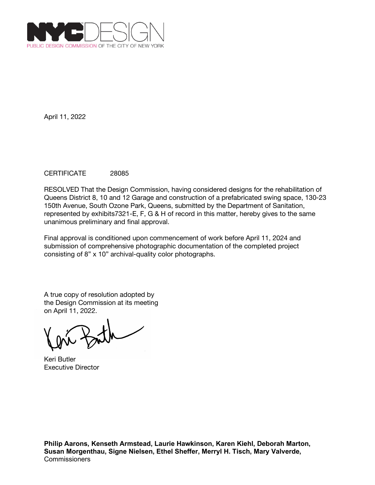

## CERTIFICATE 28085

RESOLVED That the Design Commission, having considered designs for the rehabilitation of Queens District 8, 10 and 12 Garage and construction of a prefabricated swing space, 130-23 150th Avenue, South Ozone Park, Queens, submitted by the Department of Sanitation, represented by exhibits7321-E, F, G & H of record in this matter, hereby gives to the same unanimous preliminary and final approval.

Final approval is conditioned upon commencement of work before April 11, 2024 and submission of comprehensive photographic documentation of the completed project consisting of 8" x 10" archival-quality color photographs.

A true copy of resolution adopted by the Design Commission at its meeting on April 11, 2022.

Keri Butler Executive Director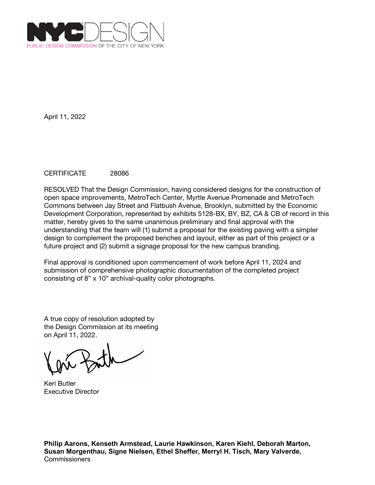

## CERTIFICATE 28086

RESOLVED That the Design Commission, having considered designs for the construction of open space improvements, MetroTech Center, Myrtle Avenue Promenade and MetroTech Commons between Jay Street and Flatbush Avenue, Brooklyn, submitted by the Economic Development Corporation, represented by exhibits 5128-BX, BY, BZ, CA & CB of record in this matter, hereby gives to the same unanimous preliminary and final approval with the understanding that the team will (1) submit a proposal for the existing paving with a simpler design to complement the proposed benches and layout, either as part of this project or a future project and (2) submit a signage proposal for the new campus branding.

Final approval is conditioned upon commencement of work before April 11, 2024 and submission of comprehensive photographic documentation of the completed project consisting of 8" x 10" archival-quality color photographs.

A true copy of resolution adopted by the Design Commission at its meeting on April 11, 2022.

Keri Butler Executive Director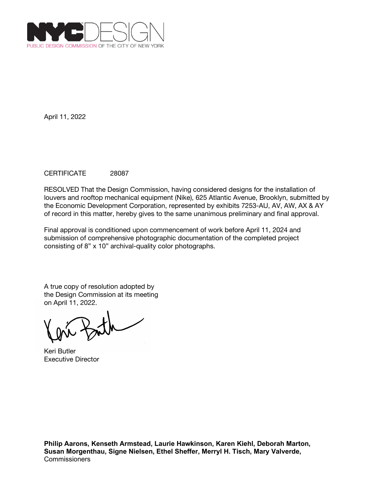

## CERTIFICATE 28087

RESOLVED That the Design Commission, having considered designs for the installation of louvers and rooftop mechanical equipment (Nike), 625 Atlantic Avenue, Brooklyn, submitted by the Economic Development Corporation, represented by exhibits 7253-AU, AV, AW, AX & AY of record in this matter, hereby gives to the same unanimous preliminary and final approval.

Final approval is conditioned upon commencement of work before April 11, 2024 and submission of comprehensive photographic documentation of the completed project consisting of 8" x 10" archival-quality color photographs.

Keri Butler Executive Director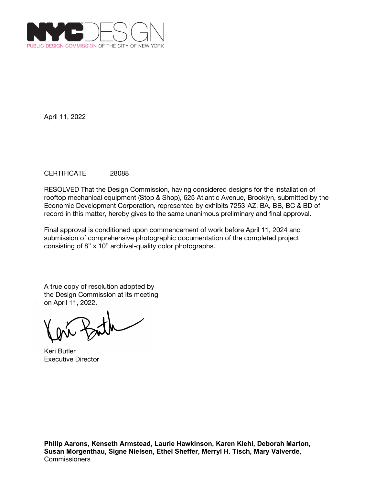

## CERTIFICATE 28088

RESOLVED That the Design Commission, having considered designs for the installation of rooftop mechanical equipment (Stop & Shop), 625 Atlantic Avenue, Brooklyn, submitted by the Economic Development Corporation, represented by exhibits 7253-AZ, BA, BB, BC & BD of record in this matter, hereby gives to the same unanimous preliminary and final approval.

Final approval is conditioned upon commencement of work before April 11, 2024 and submission of comprehensive photographic documentation of the completed project consisting of 8" x 10" archival-quality color photographs.

Keri Butler Executive Director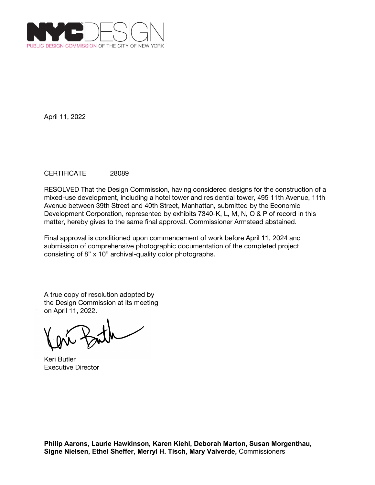

## CERTIFICATE 28089

RESOLVED That the Design Commission, having considered designs for the construction of a mixed-use development, including a hotel tower and residential tower, 495 11th Avenue, 11th Avenue between 39th Street and 40th Street, Manhattan, submitted by the Economic Development Corporation, represented by exhibits 7340-K, L, M, N, O & P of record in this matter, hereby gives to the same final approval. Commissioner Armstead abstained.

Final approval is conditioned upon commencement of work before April 11, 2024 and submission of comprehensive photographic documentation of the completed project consisting of 8" x 10" archival-quality color photographs.

Keri Butler Executive Director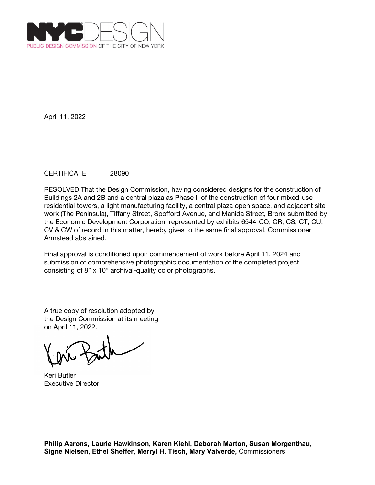

## CERTIFICATE 28090

RESOLVED That the Design Commission, having considered designs for the construction of Buildings 2A and 2B and a central plaza as Phase II of the construction of four mixed-use residential towers, a light manufacturing facility, a central plaza open space, and adjacent site work (The Peninsula), Tiffany Street, Spofford Avenue, and Manida Street, Bronx submitted by the Economic Development Corporation, represented by exhibits 6544-CQ, CR, CS, CT, CU, CV & CW of record in this matter, hereby gives to the same final approval. Commissioner Armstead abstained.

Final approval is conditioned upon commencement of work before April 11, 2024 and submission of comprehensive photographic documentation of the completed project consisting of 8" x 10" archival-quality color photographs.

A true copy of resolution adopted by the Design Commission at its meeting on April 11, 2022.

Keri Butler Executive Director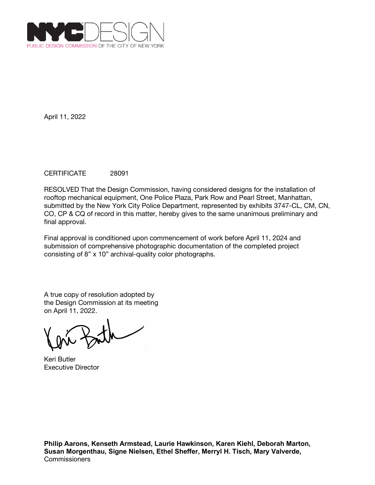

## CERTIFICATE 28091

RESOLVED That the Design Commission, having considered designs for the installation of rooftop mechanical equipment, One Police Plaza, Park Row and Pearl Street, Manhattan, submitted by the New York City Police Department, represented by exhibits 3747-CL, CM, CN, CO, CP & CQ of record in this matter, hereby gives to the same unanimous preliminary and final approval.

Final approval is conditioned upon commencement of work before April 11, 2024 and submission of comprehensive photographic documentation of the completed project consisting of 8" x 10" archival-quality color photographs.

Keri Butler Executive Director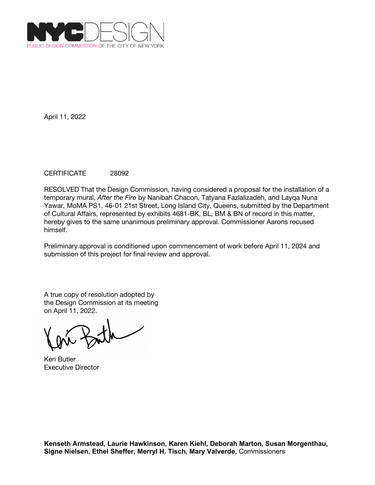

## CERTIFICATE 28092

RESOLVED That the Design Commission, having considered a proposal for the installation of a temporary mural, *After the Fire* by Nanibah Chacon, Tatyana Fazlalizadeh, and Layqa Nuna Yawar, MoMA PS1, 46-01 21st Street, Long Island City, Queens, submitted by the Department of Cultural Affairs, represented by exhibits 4681-BK, BL, BM & BN of record in this matter, hereby gives to the same unanimous preliminary approval. Commissioner Aarons recused himself.

Preliminary approval is conditioned upon commencement of work before April 11, 2024 and submission of this project for final review and approval.

Keri Butler Executive Director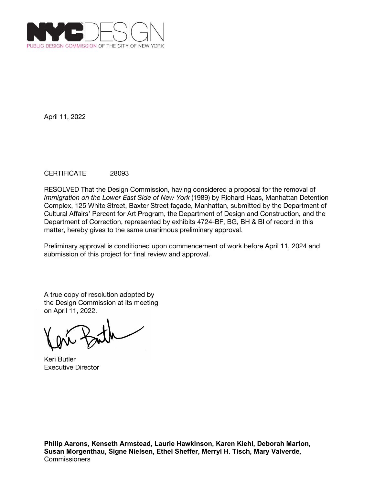

## CERTIFICATE 28093

RESOLVED That the Design Commission, having considered a proposal for the removal of *Immigration on the Lower East Side of New York* (1989) by Richard Haas, Manhattan Detention Complex, 125 White Street, Baxter Street façade, Manhattan, submitted by the Department of Cultural Affairs' Percent for Art Program, the Department of Design and Construction, and the Department of Correction, represented by exhibits 4724-BF, BG, BH & BI of record in this matter, hereby gives to the same unanimous preliminary approval.

Preliminary approval is conditioned upon commencement of work before April 11, 2024 and submission of this project for final review and approval.

A true copy of resolution adopted by the Design Commission at its meeting on April 11, 2022.

Keri Butler Executive Director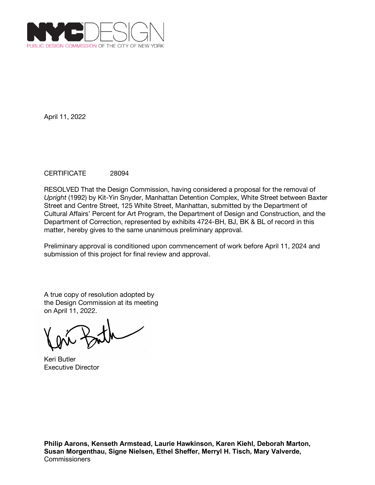

## CERTIFICATE 28094

RESOLVED That the Design Commission, having considered a proposal for the removal of *Upright* (1992) by Kit-Yin Snyder, Manhattan Detention Complex, White Street between Baxter Street and Centre Street, 125 White Street, Manhattan, submitted by the Department of Cultural Affairs' Percent for Art Program, the Department of Design and Construction, and the Department of Correction, represented by exhibits 4724-BH, BJ, BK & BL of record in this matter, hereby gives to the same unanimous preliminary approval.

Preliminary approval is conditioned upon commencement of work before April 11, 2024 and submission of this project for final review and approval.

Keri Butler Executive Director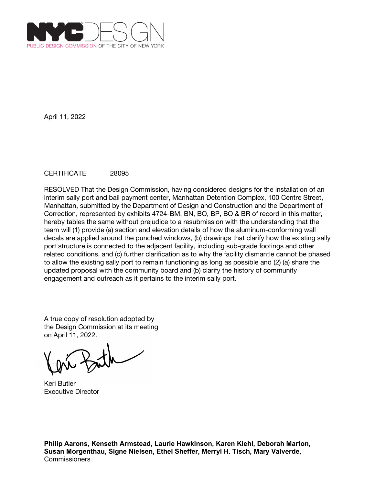

# CERTIFICATE 28095

RESOLVED That the Design Commission, having considered designs for the installation of an interim sally port and bail payment center, Manhattan Detention Complex, 100 Centre Street, Manhattan, submitted by the Department of Design and Construction and the Department of Correction, represented by exhibits 4724-BM, BN, BO, BP, BQ & BR of record in this matter, hereby tables the same without prejudice to a resubmission with the understanding that the team will (1) provide (a) section and elevation details of how the aluminum-conforming wall decals are applied around the punched windows, (b) drawings that clarify how the existing sally port structure is connected to the adjacent facility, including sub-grade footings and other related conditions, and (c) further clarification as to why the facility dismantle cannot be phased to allow the existing sally port to remain functioning as long as possible and (2) (a) share the updated proposal with the community board and (b) clarify the history of community engagement and outreach as it pertains to the interim sally port.

A true copy of resolution adopted by the Design Commission at its meeting on April 11, 2022.

Keri Butler Executive Director